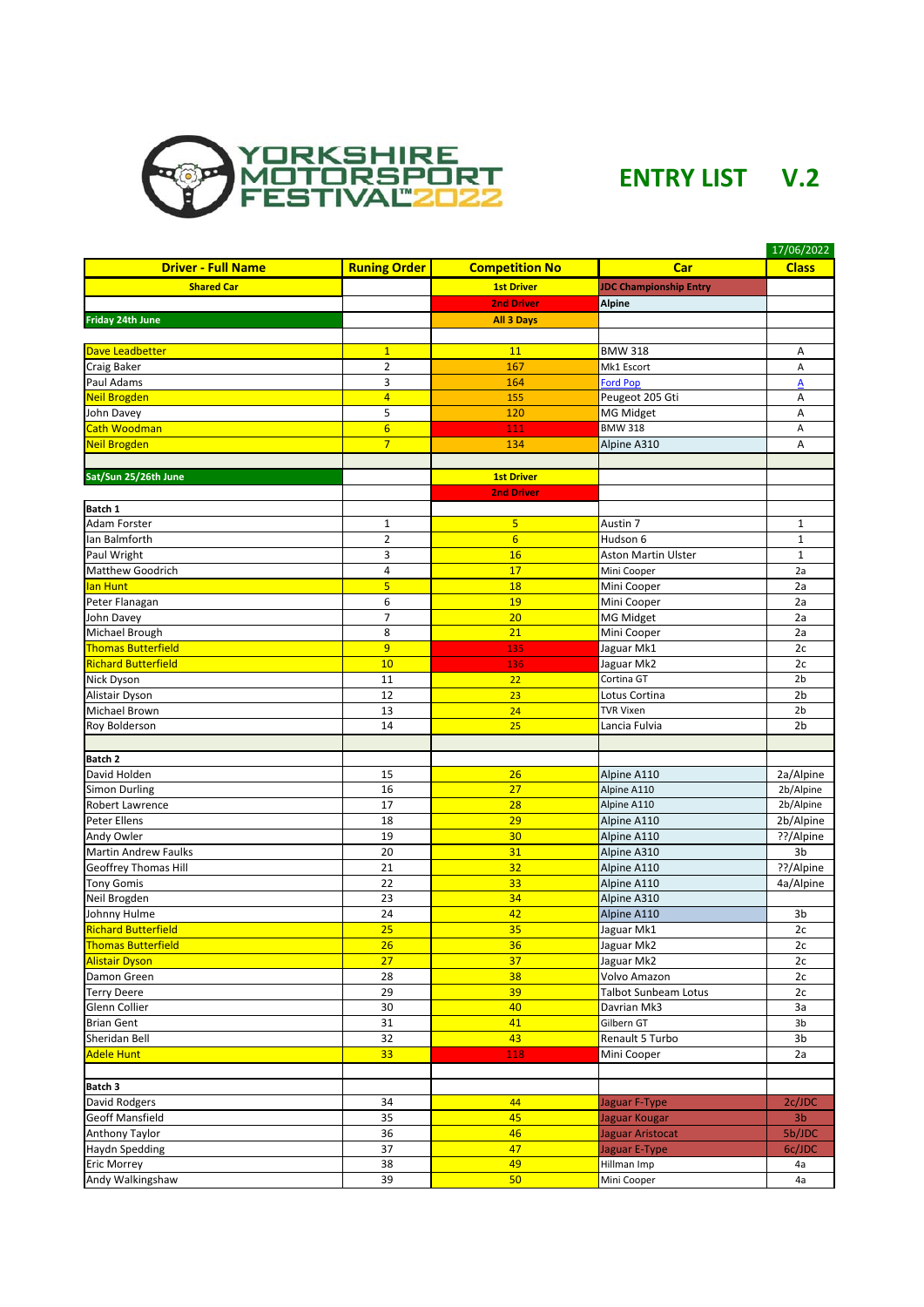

## **ENTRY LIST V.2**

|                                     |                     |                       |                                             | 17/06/2022               |
|-------------------------------------|---------------------|-----------------------|---------------------------------------------|--------------------------|
| <b>Driver - Full Name</b>           | <b>Runing Order</b> | <b>Competition No</b> | Car                                         | <b>Class</b>             |
| <b>Shared Car</b>                   |                     | <b>1st Driver</b>     | <b>JDC Championship Entry</b>               |                          |
|                                     |                     | <b>2nd Driver</b>     | <b>Alpine</b>                               |                          |
| Friday 24th June                    |                     | <b>All 3 Days</b>     |                                             |                          |
|                                     |                     |                       |                                             |                          |
| Dave Leadbetter                     | $\overline{1}$      | 11                    | <b>BMW 318</b>                              | Α                        |
| Craig Baker                         | $\overline{2}$      | 167                   | Mk1 Escort                                  | А                        |
| Paul Adams                          | 3                   | 164                   | <b>Ford Pop</b>                             | A                        |
| <b>Neil Brogden</b>                 | $\overline{4}$      | 155                   | Peugeot 205 Gti                             | Α                        |
| John Davey                          | 5                   | 120                   | MG Midget                                   | А                        |
| Cath Woodman                        | $6\overline{6}$     | 111                   | <b>BMW 318</b>                              | Α                        |
| Neil Brogden                        | $\overline{7}$      | 134                   | Alpine A310                                 | A                        |
|                                     |                     |                       |                                             |                          |
| Sat/Sun 25/26th June                |                     | <b>1st Driver</b>     |                                             |                          |
|                                     |                     | <b>2nd Driver</b>     |                                             |                          |
| Batch 1                             |                     |                       |                                             |                          |
| Adam Forster                        | 1                   | 5                     | Austin 7                                    | 1                        |
| lan Balmforth                       | $\overline{2}$      | $6\overline{6}$       | Hudson 6                                    | $\mathbf 1$              |
| Paul Wright                         | 3                   | 16                    | <b>Aston Martin Ulster</b>                  | $\mathbf 1$              |
| <b>Matthew Goodrich</b>             | 4                   | 17                    | Mini Cooper                                 | 2a                       |
| lan Hunt                            | 5                   | 18                    | Mini Cooper                                 | 2a                       |
| Peter Flanagan                      | 6                   | 19                    | Mini Cooper                                 | 2a                       |
| John Davey                          | 7                   | 20                    | MG Midget                                   | 2a                       |
| Michael Brough                      | 8                   | 21                    | Mini Cooper                                 | 2a                       |
| <b>Thomas Butterfield</b>           | 9                   | 135                   | Jaguar Mk1                                  | 2c                       |
| <b>Richard Butterfield</b>          | 10                  | 136                   | Jaguar Mk2                                  | 2c                       |
| Nick Dyson                          | 11                  | 22                    | Cortina GT                                  | 2 <sub>b</sub>           |
| Alistair Dyson                      | 12                  | 23                    | Lotus Cortina                               | 2 <sub>b</sub>           |
| Michael Brown                       | 13                  | 24                    | <b>TVR Vixen</b>                            | 2 <sub>b</sub>           |
| Roy Bolderson                       | 14                  | 25                    | Lancia Fulvia                               | 2 <sub>b</sub>           |
|                                     |                     |                       |                                             |                          |
| Batch <sub>2</sub>                  |                     |                       |                                             |                          |
| David Holden                        | 15                  | 26                    | Alpine A110                                 | 2a/Alpine                |
| Simon Durling                       | 16                  | 27                    | Alpine A110                                 | 2b/Alpine                |
| Robert Lawrence                     | 17                  | 28                    | Alpine A110                                 | 2b/Alpine                |
| <b>Peter Ellens</b>                 | 18                  | 29                    | Alpine A110                                 | 2b/Alpine                |
| Andy Owler                          | 19                  | 30                    | Alpine A110                                 | ??/Alpine                |
| <b>Martin Andrew Faulks</b>         | 20                  | 31                    | Alpine A310                                 | 3b                       |
| <b>Geoffrey Thomas Hill</b>         | 21                  | 32                    | Alpine A110                                 | ??/Alpine                |
| <b>Tony Gomis</b>                   | 22                  | 33                    | Alpine A110                                 | 4a/Alpine                |
| Neil Brogden                        | 23                  | 34                    | Alpine A310                                 |                          |
| Johnny Hulme                        | 24                  | 42                    | Alpine A110                                 | 3b                       |
| <b>Richard Butterfield</b>          | 25                  | 35                    | Jaguar Mk1                                  | 2c                       |
| <b>Thomas Butterfield</b>           | 26                  | 36                    | Jaguar Mk2                                  | 2c                       |
| <b>Alistair Dyson</b>               | 27<br>28            | 37<br>38              | Jaguar Mk2                                  | 2c<br>2c                 |
| Damon Green                         | 29                  | 39                    | Volvo Amazon<br><b>Talbot Sunbeam Lotus</b> |                          |
| <b>Terry Deere</b><br>Glenn Collier | 30                  | 40                    | Davrian Mk3                                 | 2c<br>3a                 |
| <b>Brian Gent</b>                   | 31                  | 41                    | Gilbern GT                                  | 3b                       |
| Sheridan Bell                       | 32                  | 43                    | Renault 5 Turbo                             | 3 <sub>b</sub>           |
| Adele Hunt                          | 33                  | 118                   | Mini Cooper                                 | 2a                       |
|                                     |                     |                       |                                             |                          |
| Batch 3                             |                     |                       |                                             |                          |
| David Rodgers                       | 34                  | 44                    |                                             |                          |
|                                     |                     | 45                    | Jaguar F-Type                               | 2c/JDC<br>3 <sub>b</sub> |
| <b>Geoff Mansfield</b>              | 35<br>36            | 46                    | Jaguar Kougar<br>Jaguar Aristocat           | 5b/JDC                   |
| Anthony Taylor<br>Haydn Spedding    | 37                  | 47                    | Jaguar E-Type                               | 6c/JDC                   |
| <b>Eric Morrey</b>                  | 38                  | 49                    | Hillman Imp                                 | 4a                       |
| Andy Walkingshaw                    | 39                  | 50                    | Mini Cooper                                 | 4a                       |
|                                     |                     |                       |                                             |                          |